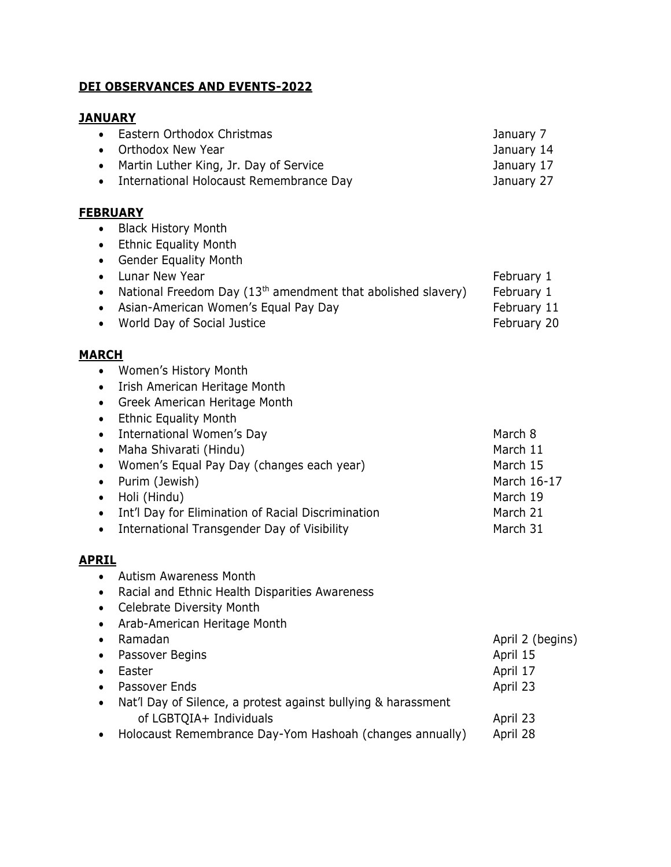### **DEI OBSERVANCES AND EVENTS-2022**

# **JANUARY**

| Eastern Orthodox Christmas<br>Orthodox New Year<br>Martin Luther King, Jr. Day of Service<br>International Holocaust Remembrance Day                                                                                                                                                                                                                               | January 7<br>January 14<br>January 17<br>January 27                                                       |
|--------------------------------------------------------------------------------------------------------------------------------------------------------------------------------------------------------------------------------------------------------------------------------------------------------------------------------------------------------------------|-----------------------------------------------------------------------------------------------------------|
| <b>Black History Month</b><br><b>Ethnic Equality Month</b><br><b>Gender Equality Month</b><br>Lunar New Year<br>National Freedom Day (13 <sup>th</sup> amendment that abolished slavery)<br>Asian-American Women's Equal Pay Day<br>World Day of Social Justice                                                                                                    | February 1<br>February 1<br>February 11<br>February 20                                                    |
| Women's History Month<br>Irish American Heritage Month<br>Greek American Heritage Month<br><b>Ethnic Equality Month</b><br>International Women's Day<br>Maha Shivarati (Hindu)<br>Women's Equal Pay Day (changes each year)<br>Purim (Jewish)<br>Holi (Hindu)<br>Int'l Day for Elimination of Racial Discrimination<br>International Transgender Day of Visibility | March 8<br>March 11<br>March 15<br>March 16-17<br>March 19<br>March 21<br>March 31                        |
| <b>Autism Awareness Month</b><br>Racial and Ethnic Health Disparities Awareness<br><b>Celebrate Diversity Month</b><br>Arab-American Heritage Month<br>Ramadan<br>Passover Begins<br>Easter<br>Passover Ends<br>Nat'l Day of Silence, a protest against bullying & harassment<br>of LGBTQIA+ Individuals                                                           | April 2 (begins)<br>April 15<br>April 17<br>April 23<br>April 23<br>Anril 78                              |
|                                                                                                                                                                                                                                                                                                                                                                    | <b>EBRUARY</b><br><b>IARCH</b><br><u>PRIL</u><br>Holocaust Remembrance Day-Yom Hashoah (changes annually) |

# **FEBRUARY**

## **M**

# **A**

• Holocaust Remembrance Day-Yom Hashoah (changes annually) April 28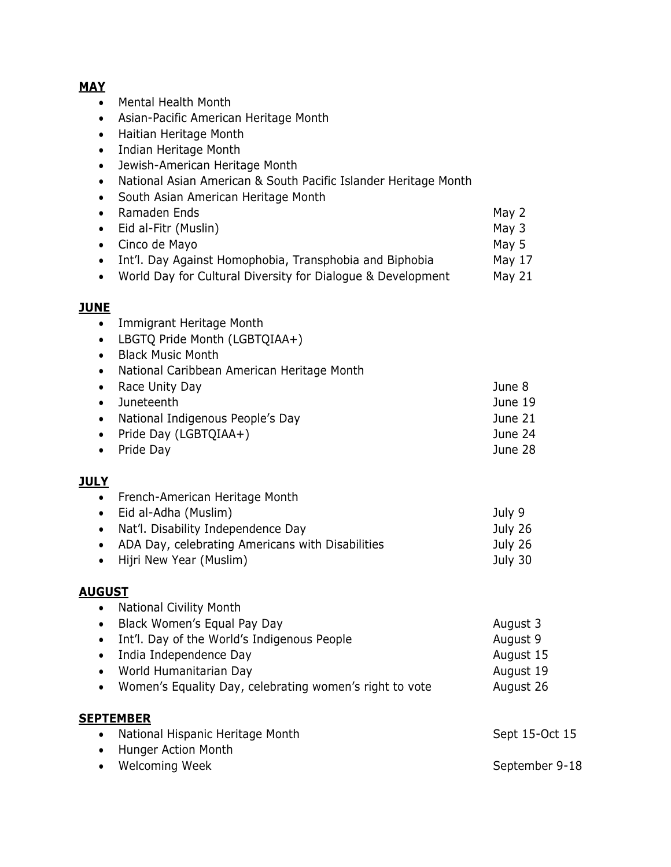#### **MAY**

- Mental Health Month
- Asian-Pacific American Heritage Month
- Haitian Heritage Month
- Indian Heritage Month
- Jewish-American Heritage Month
- National Asian American & South Pacific Islander Heritage Month
- South Asian American Heritage Month
- Ramaden Ends May 2 • Eid al-Fitr (Muslin) May 3 • Cinco de Mayo **May 5**
- Int'l. Day Against Homophobia, Transphobia and Biphobia May 17 • World Day for Cultural Diversity for Dialogue & Development May 21

#### **JUNE**

- Immigrant Heritage Month
- LBGTQ Pride Month (LGBTQIAA+)
- Black Music Month
- National Caribbean American Heritage Month
- Race Unity Day **June 8**  Juneteenth June 19 • National Indigenous People's Day **June 21**  Pride Day (LGBTQIAA+) June 24 • Pride Day **June 28**
- 

### **JULY**

• French-American Heritage Month Eid al-Adha (Muslim) July 9 • Nat'l. Disability Independence Day **July 26** • ADA Day, celebrating Americans with Disabilities July 26 • Hijri New Year (Muslim) **July 30** 

#### **AUGUST**

| <b>National Civility Month</b><br>$\bullet$                          |                |
|----------------------------------------------------------------------|----------------|
| Black Women's Equal Pay Day<br>$\bullet$                             | August 3       |
| Int'l. Day of the World's Indigenous People<br>$\bullet$             | August 9       |
| India Independence Day<br>$\bullet$                                  | August 15      |
| World Humanitarian Day<br>$\bullet$                                  | August 19      |
| Women's Equality Day, celebrating women's right to vote<br>$\bullet$ | August 26      |
| <b>SEPTEMBER</b>                                                     |                |
| National Hispanic Heritage Month<br>$\bullet$                        | Sept 15-Oct 15 |
| Hunger Action Month<br>$\bullet$                                     |                |
| <b>Welcoming Week</b><br>$\bullet$                                   | September 9-18 |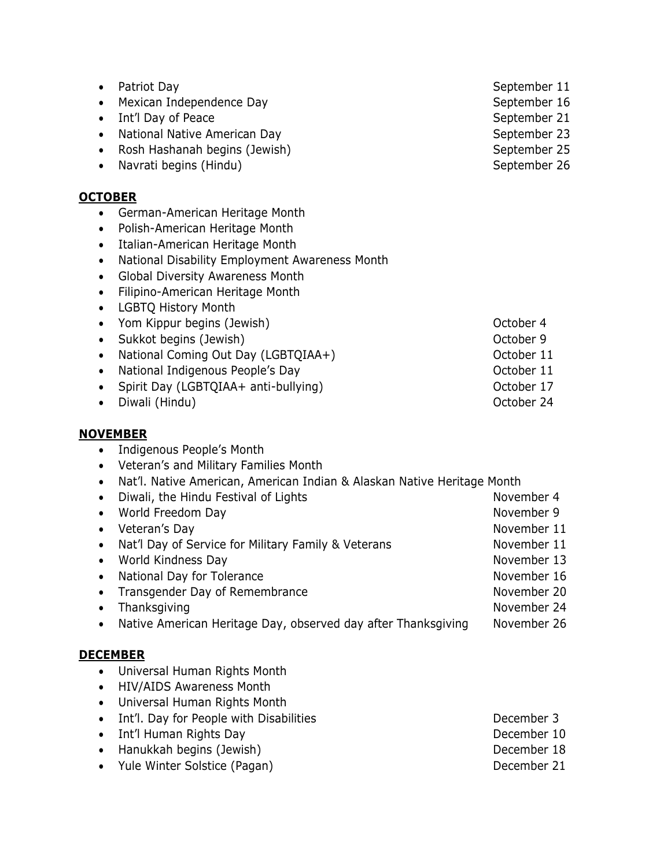| Patriot Day<br>٠<br>Mexican Independence Day<br>$\bullet$<br>Int'l Day of Peace<br>$\bullet$<br>National Native American Day<br>$\bullet$<br>Rosh Hashanah begins (Jewish)<br>$\bullet$<br>Navrati begins (Hindu)<br>$\bullet$                                                                                                                                                                                                                                                                                                                                                                                                   | September 11<br>September 16<br>September 21<br>September 23<br>September 25<br>September 26                                      |
|----------------------------------------------------------------------------------------------------------------------------------------------------------------------------------------------------------------------------------------------------------------------------------------------------------------------------------------------------------------------------------------------------------------------------------------------------------------------------------------------------------------------------------------------------------------------------------------------------------------------------------|-----------------------------------------------------------------------------------------------------------------------------------|
| <u>OCTOBER</u><br>German-American Heritage Month<br>$\bullet$<br>Polish-American Heritage Month<br>٠<br>Italian-American Heritage Month<br>$\bullet$<br>National Disability Employment Awareness Month<br>$\bullet$<br>Global Diversity Awareness Month<br>$\bullet$<br>Filipino-American Heritage Month<br>$\bullet$<br><b>LGBTQ History Month</b><br>$\bullet$<br>Yom Kippur begins (Jewish)<br>$\bullet$<br>Sukkot begins (Jewish)<br>$\bullet$                                                                                                                                                                               | October 4<br>October 9                                                                                                            |
| National Coming Out Day (LGBTQIAA+)<br>$\bullet$<br>National Indigenous People's Day<br>$\bullet$<br>Spirit Day (LGBTQIAA+ anti-bullying)<br>$\bullet$<br>Diwali (Hindu)<br>$\bullet$                                                                                                                                                                                                                                                                                                                                                                                                                                            | October 11<br>October 11<br>October 17<br>October 24                                                                              |
| <b>NOVEMBER</b><br>Indigenous People's Month<br>$\bullet$<br>Veteran's and Military Families Month<br>$\bullet$<br>Nat'l. Native American, American Indian & Alaskan Native Heritage Month<br>٠<br>Diwali, the Hindu Festival of Lights<br>$\bullet$<br>World Freedom Day<br>$\bullet$<br>Veteran's Day<br>$\bullet$<br>Nat'l Day of Service for Military Family & Veterans<br>$\bullet$<br>World Kindness Day<br>$\bullet$<br>National Day for Tolerance<br>$\bullet$<br>Transgender Day of Remembrance<br>$\bullet$<br>Thanksgiving<br>$\bullet$<br>Native American Heritage Day, observed day after Thanksgiving<br>$\bullet$ | November 4<br>November 9<br>November 11<br>November 11<br>November 13<br>November 16<br>November 20<br>November 24<br>November 26 |
| <u>DECEMBER</u><br>Universal Human Rights Month<br>$\bullet$<br><b>HIV/AIDS Awareness Month</b><br>$\bullet$<br>Universal Human Rights Month<br>$\bullet$<br>Int'l. Day for People with Disabilities<br>$\bullet$<br>Int'l Human Rights Day<br>$\bullet$<br>Hanukkah begins (Jewish)<br>$\bullet$<br>Yule Winter Solstice (Pagan)<br>$\bullet$                                                                                                                                                                                                                                                                                   | December 3<br>December 10<br>December 18<br>December 21                                                                           |